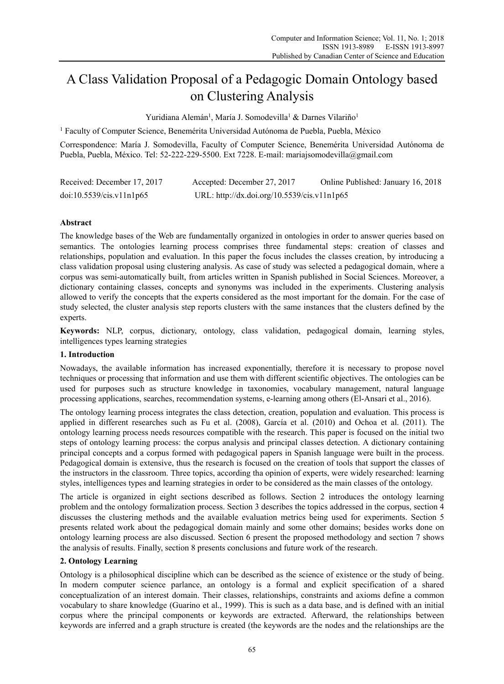# A Class Validation Proposal of a Pedagogic Domain Ontology based on Clustering Analysis

Yuridiana Alemán<sup>1</sup>, María J. Somodevilla<sup>1</sup> & Darnes Vilariño<sup>1</sup>

<sup>1</sup> Faculty of Computer Science, Benemérita Universidad Autónoma de Puebla, Puebla, México

Correspondence: María J. Somodevilla, Faculty of Computer Science, Benemérita Universidad Autónoma de Puebla, Puebla, México. Tel: 52-222-229-5500. Ext 7228. E-mail: mariajsomodevilla@gmail.com

| Received: December 17, 2017 | Accepted: December 27, 2017                 | Online Published: January 16, 2018 |
|-----------------------------|---------------------------------------------|------------------------------------|
| doi:10.5539/cis.v11n1p65    | URL: http://dx.doi.org/10.5539/cis.v11n1p65 |                                    |

## **Abstract**

The knowledge bases of the Web are fundamentally organized in ontologies in order to answer queries based on semantics. The ontologies learning process comprises three fundamental steps: creation of classes and relationships, population and evaluation. In this paper the focus includes the classes creation, by introducing a class validation proposal using clustering analysis. As case of study was selected a pedagogical domain, where a corpus was semi-automatically built, from articles written in Spanish published in Social Sciences. Moreover, a dictionary containing classes, concepts and synonyms was included in the experiments. Clustering analysis allowed to verify the concepts that the experts considered as the most important for the domain. For the case of study selected, the cluster analysis step reports clusters with the same instances that the clusters defined by the experts.

**Keywords:** NLP, corpus, dictionary, ontology, class validation, pedagogical domain, learning styles, intelligences types learning strategies

## **1. Introduction**

Nowadays, the available information has increased exponentially, therefore it is necessary to propose novel techniques or processing that information and use them with different scientific objectives. The ontologies can be used for purposes such as structure knowledge in taxonomies, vocabulary management, natural language processing applications, searches, recommendation systems, e-learning among others (El-Ansari et al., 2016).

The ontology learning process integrates the class detection, creation, population and evaluation. This process is applied in different researches such as Fu et al. (2008), García et al. (2010) and Ochoa et al. (2011). The ontology learning process needs resources compatible with the research. This paper is focused on the initial two steps of ontology learning process: the corpus analysis and principal classes detection. A dictionary containing principal concepts and a corpus formed with pedagogical papers in Spanish language were built in the process. Pedagogical domain is extensive, thus the research is focused on the creation of tools that support the classes of the instructors in the classroom. Three topics, according tha opinion of experts, were widely researched: learning styles, intelligences types and learning strategies in order to be considered as the main classes of the ontology.

The article is organized in eight sections described as follows. Section 2 introduces the ontology learning problem and the ontology formalization process. Section 3 describes the topics addressed in the corpus, section 4 discusses the clustering methods and the available evaluation metrics being used for experiments. Section 5 presents related work about the pedagogical domain mainly and some other domains; besides works done on ontology learning process are also discussed. Section 6 present the proposed methodology and section 7 shows the analysis of results. Finally, section 8 presents conclusions and future work of the research.

## **2. Ontology Learning**

Ontology is a philosophical discipline which can be described as the science of existence or the study of being. In modern computer science parlance, an ontology is a formal and explicit specification of a shared conceptualization of an interest domain. Their classes, relationships, constraints and axioms define a common vocabulary to share knowledge (Guarino et al., 1999). This is such as a data base, and is defined with an initial corpus where the principal components or keywords are extracted. Afterward, the relationships between keywords are inferred and a graph structure is created (the keywords are the nodes and the relationships are the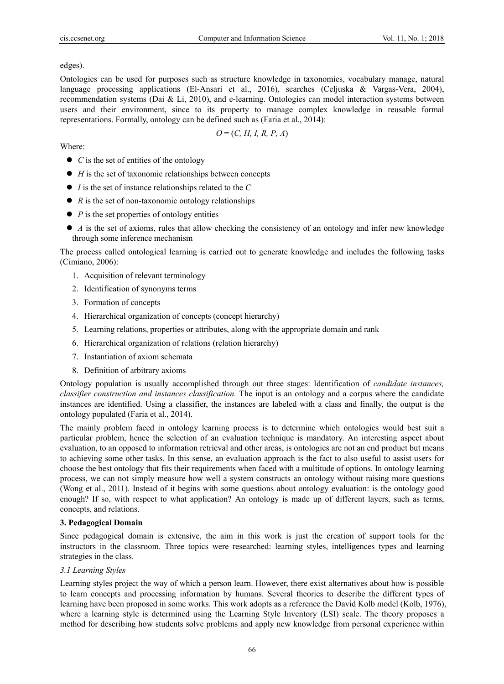edges).

Ontologies can be used for purposes such as structure knowledge in taxonomies, vocabulary manage, natural language processing applications (El-Ansari et al., 2016), searches (Celjuska & Vargas-Vera, 2004), recommendation systems (Dai & Li, 2010), and e-learning. Ontologies can model interaction systems between users and their environment, since to its property to manage complex knowledge in reusable formal representations. Formally, ontology can be defined such as (Faria et al., 2014):

$$
O = (C, H, I, R, P, A)
$$

Where:

- *C* is the set of entities of the ontology
- *H* is the set of taxonomic relationships between concepts
- *I* is the set of instance relationships related to the *C*
- *R* is the set of non-taxonomic ontology relationships
- *P* is the set properties of ontology entities
- *A* is the set of axioms, rules that allow checking the consistency of an ontology and infer new knowledge through some inference mechanism

The process called ontological learning is carried out to generate knowledge and includes the following tasks (Cimiano, 2006):

- 1. Acquisition of relevant terminology
- 2. Identification of synonyms terms
- 3. Formation of concepts
- 4. Hierarchical organization of concepts (concept hierarchy)
- 5. Learning relations, properties or attributes, along with the appropriate domain and rank
- 6. Hierarchical organization of relations (relation hierarchy)
- 7. Instantiation of axiom schemata
- 8. Definition of arbitrary axioms

Ontology population is usually accomplished through out three stages: Identification of *candidate instances, classifier construction and instances classification.* The input is an ontology and a corpus where the candidate instances are identified. Using a classifier, the instances are labeled with a class and finally, the output is the ontology populated (Faria et al., 2014).

The mainly problem faced in ontology learning process is to determine which ontologies would best suit a particular problem, hence the selection of an evaluation technique is mandatory. An interesting aspect about evaluation, to an opposed to information retrieval and other areas, is ontologies are not an end product but means to achieving some other tasks. In this sense, an evaluation approach is the fact to also useful to assist users for choose the best ontology that fits their requirements when faced with a multitude of options. In ontology learning process, we can not simply measure how well a system constructs an ontology without raising more questions (Wong et al., 2011). Instead of it begins with some questions about ontology evaluation: is the ontology good enough? If so, with respect to what application? An ontology is made up of different layers, such as terms, concepts, and relations.

## **3. Pedagogical Domain**

Since pedagogical domain is extensive, the aim in this work is just the creation of support tools for the instructors in the classroom. Three topics were researched: learning styles, intelligences types and learning strategies in the class.

## *3.1 Learning Styles*

Learning styles project the way of which a person learn. However, there exist alternatives about how is possible to learn concepts and processing information by humans. Several theories to describe the different types of learning have been proposed in some works. This work adopts as a reference the David Kolb model (Kolb, 1976), where a learning style is determined using the Learning Style Inventory (LSI) scale. The theory proposes a method for describing how students solve problems and apply new knowledge from personal experience within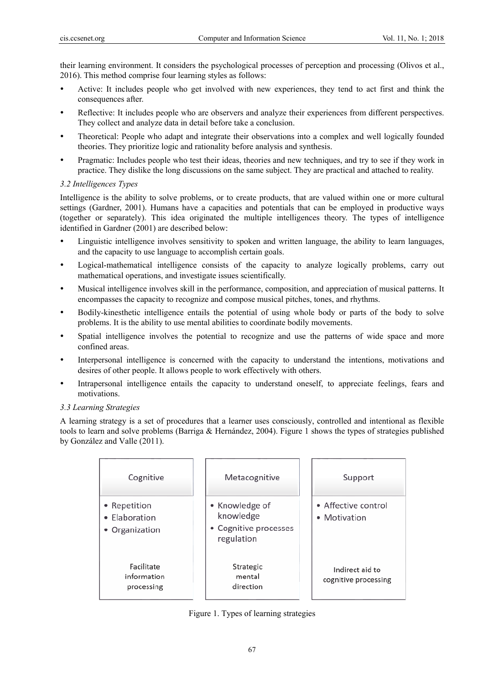their learning environment. It considers the psychological processes of perception and processing (Olivos et al., 2016). This method comprise four learning styles as follows:

- Active: It includes people who get involved with new experiences, they tend to act first and think the consequences after.
- Reflective: It includes people who are observers and analyze their experiences from different perspectives. They collect and analyze data in detail before take a conclusion.
- Theoretical: People who adapt and integrate their observations into a complex and well logically founded theories. They prioritize logic and rationality before analysis and synthesis.
- Pragmatic: Includes people who test their ideas, theories and new techniques, and try to see if they work in practice. They dislike the long discussions on the same subject. They are practical and attached to reality.

## *3.2 Intelligences Types*

Intelligence is the ability to solve problems, or to create products, that are valued within one or more cultural settings (Gardner, 2001). Humans have a capacities and potentials that can be employed in productive ways (together or separately). This idea originated the multiple intelligences theory. The types of intelligence identified in Gardner (2001) are described below:

- Linguistic intelligence involves sensitivity to spoken and written language, the ability to learn languages, and the capacity to use language to accomplish certain goals.
- Logical-mathematical intelligence consists of the capacity to analyze logically problems, carry out mathematical operations, and investigate issues scientifically.
- Musical intelligence involves skill in the performance, composition, and appreciation of musical patterns. It encompasses the capacity to recognize and compose musical pitches, tones, and rhythms.
- Bodily-kinesthetic intelligence entails the potential of using whole body or parts of the body to solve problems. It is the ability to use mental abilities to coordinate bodily movements.
- Spatial intelligence involves the potential to recognize and use the patterns of wide space and more confined areas.
- Interpersonal intelligence is concerned with the capacity to understand the intentions, motivations and desires of other people. It allows people to work effectively with others.
- Intrapersonal intelligence entails the capacity to understand oneself, to appreciate feelings, fears and motivations.

## *3.3 Learning Strategies*

A learning strategy is a set of procedures that a learner uses consciously, controlled and intentional as flexible tools to learn and solve problems (Barriga & Hernández, 2004). Figure 1 shows the types of strategies published by González and Valle (2011).

| Cognitive                                       | Metacognitive                                                      | Support                                 |
|-------------------------------------------------|--------------------------------------------------------------------|-----------------------------------------|
| • Repetition<br>• Elaboration<br>• Organization | • Knowledge of<br>knowledge<br>• Cognitive processes<br>regulation | • Affective control<br>• Motivation     |
| Facilitate<br>information<br>processing         | Strategic<br>mental<br>direction                                   | Indirect aid to<br>cognitive processing |

Figure 1. Types of learning strategies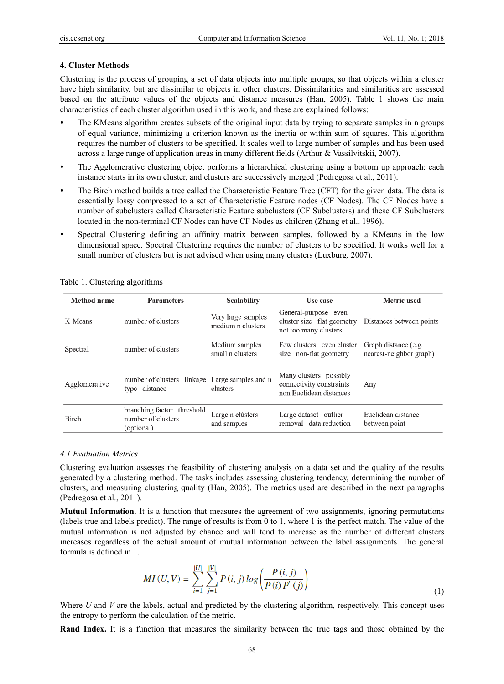#### **4. Cluster Methods**

Clustering is the process of grouping a set of data objects into multiple groups, so that objects within a cluster have high similarity, but are dissimilar to objects in other clusters. Dissimilarities and similarities are assessed based on the attribute values of the objects and distance measures (Han, 2005). Table 1 shows the main characteristics of each cluster algorithm used in this work, and these are explained follows:

- The KMeans algorithm creates subsets of the original input data by trying to separate samples in n groups of equal variance, minimizing a criterion known as the inertia or within sum of squares. This algorithm requires the number of clusters to be specified. It scales well to large number of samples and has been used across a large range of application areas in many different fields (Arthur & Vassilvitskii, 2007).
- The Agglomerative clustering object performs a hierarchical clustering using a bottom up approach: each instance starts in its own cluster, and clusters are successively merged (Pedregosa et al., 2011).
- The Birch method builds a tree called the Characteristic Feature Tree (CFT) for the given data. The data is essentially lossy compressed to a set of Characteristic Feature nodes (CF Nodes). The CF Nodes have a number of subclusters called Characteristic Feature subclusters (CF Subclusters) and these CF Subclusters located in the non-terminal CF Nodes can have CF Nodes as children (Zhang et al., 1996).
- Spectral Clustering defining an affinity matrix between samples, followed by a KMeans in the low dimensional space. Spectral Clustering requires the number of clusters to be specified. It works well for a small number of clusters but is not advised when using many clusters (Luxburg, 2007).

| Method name   | <b>Parameters</b>                                               | <b>Scalability</b>                      | Use case                                                                      | <b>Metric</b> used                              |
|---------------|-----------------------------------------------------------------|-----------------------------------------|-------------------------------------------------------------------------------|-------------------------------------------------|
| K-Means       | number of clusters                                              | Very large samples<br>medium n clusters | General-purpose even<br>cluster size flat geometry<br>not too many clusters   | Distances between points                        |
| Spectral      | number of clusters                                              | Medium samples<br>small n clusters      | Few clusters even cluster<br>size non-flat geometry                           | Graph distance (e.g.<br>nearest-neighbor graph) |
| Agglomerative | number of clusters linkage Large samples and n<br>type distance | clusters                                | Many clusters possibly<br>connectivity constraints<br>non Euclidean distances | Any                                             |
| Birch         | branching factor threshold<br>number of clusters<br>(optional)  | Large n clústers<br>and samples         | Large dataset outlier<br>removal data reduction                               | Euclidean distance<br>between point             |

Table 1. Clustering algorithms

#### *4.1 Evaluation Metrics*

Clustering evaluation assesses the feasibility of clustering analysis on a data set and the quality of the results generated by a clustering method. The tasks includes assessing clustering tendency, determining the number of clusters, and measuring clustering quality (Han, 2005). The metrics used are described in the next paragraphs (Pedregosa et al., 2011).

**Mutual Information.** It is a function that measures the agreement of two assignments, ignoring permutations (labels true and labels predict). The range of results is from 0 to 1, where 1 is the perfect match. The value of the mutual information is not adjusted by chance and will tend to increase as the number of different clusters increases regardless of the actual amount of mutual information between the label assignments. The general formula is defined in 1.

$$
MI(U, V) = \sum_{i=1}^{|U|} \sum_{j=1}^{|V|} P(i, j) \log \left( \frac{P(i, j)}{P(i) P'(j)} \right)
$$
(1)

Where *U* and *V* are the labels, actual and predicted by the clustering algorithm, respectively. This concept uses the entropy to perform the calculation of the metric.

**Rand Index.** It is a function that measures the similarity between the true tags and those obtained by the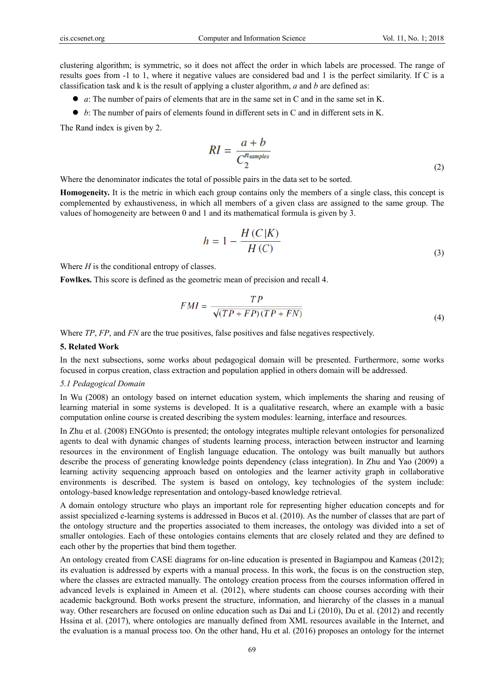clustering algorithm; is symmetric, so it does not affect the order in which labels are processed. The range of results goes from -1 to 1, where it negative values are considered bad and 1 is the perfect similarity. If C is a classification task and k is the result of applying a cluster algorithm, *a* and *b* are defined as:

- *a*: The number of pairs of elements that are in the same set in C and in the same set in K.
- *b*: The number of pairs of elements found in different sets in C and in different sets in K.

The Rand index is given by 2.

$$
RI = \frac{a+b}{C_2^{n_{samples}}} \tag{2}
$$

Where the denominator indicates the total of possible pairs in the data set to be sorted.

**Homogeneity.** It is the metric in which each group contains only the members of a single class, this concept is complemented by exhaustiveness, in which all members of a given class are assigned to the same group. The values of homogeneity are between 0 and 1 and its mathematical formula is given by 3.

$$
h = 1 - \frac{H(C|K)}{H(C)}
$$
\n<sup>(3)</sup>

Where *H* is the conditional entropy of classes.

**Fowlkes.** This score is defined as the geometric mean of precision and recall 4.

$$
FMI = \frac{TP}{\sqrt{(TP + FP)(TP + FN)}}
$$
\n(4)

Where *TP*, *FP*, and *FN* are the true positives, false positives and false negatives respectively.

#### **5. Related Work**

In the next subsections, some works about pedagogical domain will be presented. Furthermore, some works focused in corpus creation, class extraction and population applied in others domain will be addressed.

#### *5.1 Pedagogical Domain*

In Wu (2008) an ontology based on internet education system, which implements the sharing and reusing of learning material in some systems is developed. It is a qualitative research, where an example with a basic computation online course is created describing the system modules: learning, interface and resources.

In Zhu et al. (2008) ENGOnto is presented; the ontology integrates multiple relevant ontologies for personalized agents to deal with dynamic changes of students learning process, interaction between instructor and learning resources in the environment of English language education. The ontology was built manually but authors describe the process of generating knowledge points dependency (class integration). In Zhu and Yao (2009) a learning activity sequencing approach based on ontologies and the learner activity graph in collaborative environments is described. The system is based on ontology, key technologies of the system include: ontology-based knowledge representation and ontology-based knowledge retrieval.

A domain ontology structure who plays an important role for representing higher education concepts and for assist specialized e-learning systems is addressed in Bucos et al. (2010). As the number of classes that are part of the ontology structure and the properties associated to them increases, the ontology was divided into a set of smaller ontologies. Each of these ontologies contains elements that are closely related and they are defined to each other by the properties that bind them together.

An ontology created from CASE diagrams for on-line education is presented in Bagiampou and Kameas (2012); its evaluation is addressed by experts with a manual process. In this work, the focus is on the construction step, where the classes are extracted manually. The ontology creation process from the courses information offered in advanced levels is explained in Ameen et al. (2012), where students can choose courses according with their academic background. Both works present the structure, information, and hierarchy of the classes in a manual way. Other researchers are focused on online education such as Dai and Li (2010), Du et al. (2012) and recently Hssina et al. (2017), where ontologies are manually defined from XML resources available in the Internet, and the evaluation is a manual process too. On the other hand, Hu et al. (2016) proposes an ontology for the internet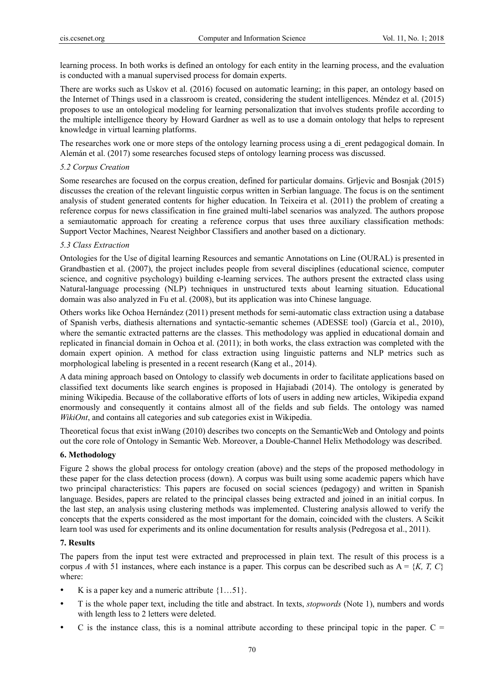learning process. In both works is defined an ontology for each entity in the learning process, and the evaluation is conducted with a manual supervised process for domain experts.

There are works such as Uskov et al. (2016) focused on automatic learning; in this paper, an ontology based on the Internet of Things used in a classroom is created, considering the student intelligences. Méndez et al. (2015) proposes to use an ontological modeling for learning personalization that involves students profile according to the multiple intelligence theory by Howard Gardner as well as to use a domain ontology that helps to represent knowledge in virtual learning platforms.

The researches work one or more steps of the ontology learning process using a di\_erent pedagogical domain. In Alemán et al. (2017) some researches focused steps of ontology learning process was discussed.

## *5.2 Corpus Creation*

Some researches are focused on the corpus creation, defined for particular domains. Grljevic and Bosnjak (2015) discusses the creation of the relevant linguistic corpus written in Serbian language. The focus is on the sentiment analysis of student generated contents for higher education. In Teixeira et al. (2011) the problem of creating a reference corpus for news classification in fine grained multi-label scenarios was analyzed. The authors propose a semiautomatic approach for creating a reference corpus that uses three auxiliary classification methods: Support Vector Machines, Nearest Neighbor Classifiers and another based on a dictionary.

## *5.3 Class Extraction*

Ontologies for the Use of digital learning Resources and semantic Annotations on Line (OURAL) is presented in Grandbastien et al. (2007), the project includes people from several disciplines (educational science, computer science, and cognitive psychology) building e-learning services. The authors present the extracted class using Natural-language processing (NLP) techniques in unstructured texts about learning situation. Educational domain was also analyzed in Fu et al. (2008), but its application was into Chinese language.

Others works like Ochoa Hernández (2011) present methods for semi-automatic class extraction using a database of Spanish verbs, diathesis alternations and syntactic-semantic schemes (ADESSE tool) (García et al., 2010), where the semantic extracted patterns are the classes. This methodology was applied in educational domain and replicated in financial domain in Ochoa et al. (2011); in both works, the class extraction was completed with the domain expert opinion. A method for class extraction using linguistic patterns and NLP metrics such as morphological labeling is presented in a recent research (Kang et al., 2014).

A data mining approach based on Ontology to classify web documents in order to facilitate applications based on classified text documents like search engines is proposed in Hajiabadi (2014). The ontology is generated by mining Wikipedia. Because of the collaborative efforts of lots of users in adding new articles, Wikipedia expand enormously and consequently it contains almost all of the fields and sub fields. The ontology was named *WikiOnt*, and contains all categories and sub categories exist in Wikipedia.

Theoretical focus that exist inWang (2010) describes two concepts on the SemanticWeb and Ontology and points out the core role of Ontology in Semantic Web. Moreover, a Double-Channel Helix Methodology was described.

#### **6. Methodology**

Figure 2 shows the global process for ontology creation (above) and the steps of the proposed methodology in these paper for the class detection process (down). A corpus was built using some academic papers which have two principal characteristics: This papers are focused on social sciences (pedagogy) and written in Spanish language. Besides, papers are related to the principal classes being extracted and joined in an initial corpus. In the last step, an analysis using clustering methods was implemented. Clustering analysis allowed to verify the concepts that the experts considered as the most important for the domain, coincided with the clusters. A Scikit learn tool was used for experiments and its online documentation for results analysis (Pedregosa et al., 2011).

## **7. Results**

The papers from the input test were extracted and preprocessed in plain text. The result of this process is a corpus *A* with 51 instances, where each instance is a paper. This corpus can be described such as  $A = \{K, T, C\}$ where:

- K is a paper key and a numeric attribute  $\{1...51\}$ .
- T is the whole paper text, including the title and abstract. In texts, *stopwords* (Note 1), numbers and words with length less to 2 letters were deleted.
- C is the instance class, this is a nominal attribute according to these principal topic in the paper.  $C =$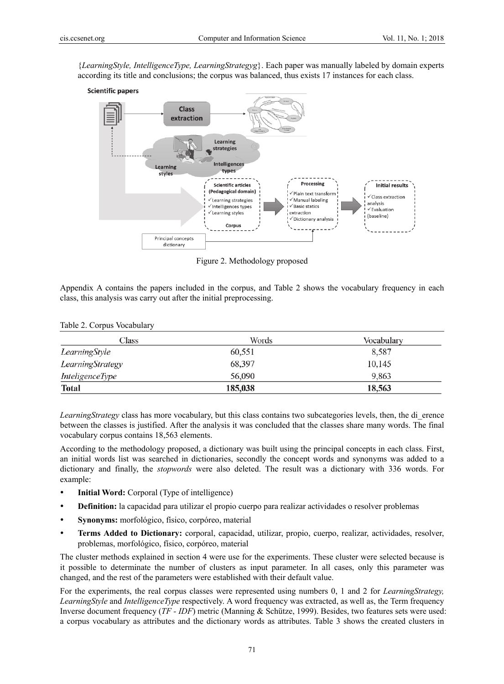{*LearningStyle, IntelligenceType, LearningStrategyg*}. Each paper was manually labeled by domain experts according its title and conclusions; the corpus was balanced, thus exists 17 instances for each class.



Figure 2. Methodology proposed

Appendix A contains the papers included in the corpus, and Table 2 shows the vocabulary frequency in each class, this analysis was carry out after the initial preprocessing.

| Class                  | Words   | Vocabulary |
|------------------------|---------|------------|
| LearningStyle          | 60,551  | 8,587      |
| LearningStrategy       | 68,397  | 10,145     |
| <i>InteligenceType</i> | 56,090  | 9,863      |
| <b>Total</b>           | 185,038 | 18,563     |

*LearningStrategy* class has more vocabulary, but this class contains two subcategories levels, then, the di\_erence between the classes is justified. After the analysis it was concluded that the classes share many words. The final vocabulary corpus contains 18,563 elements.

According to the methodology proposed, a dictionary was built using the principal concepts in each class. First, an initial words list was searched in dictionaries, secondly the concept words and synonyms was added to a dictionary and finally, the *stopwords* were also deleted. The result was a dictionary with 336 words. For example:

- **Initial Word:** Corporal (Type of intelligence)
- **Definition:** la capacidad para utilizar el propio cuerpo para realizar actividades o resolver problemas
- **Synonyms:** morfológico, físico, corpóreo, material
- **Terms Added to Dictionary:** corporal, capacidad, utilizar, propio, cuerpo, realizar, actividades, resolver, problemas, morfológico, físico, corpóreo, material

The cluster methods explained in section 4 were use for the experiments. These cluster were selected because is it possible to determinate the number of clusters as input parameter. In all cases, only this parameter was changed, and the rest of the parameters were established with their default value.

For the experiments, the real corpus classes were represented using numbers 0, 1 and 2 for *LearningStrategy, LearningStyle* and *IntelligenceType* respectively. A word frequency was extracted, as well as, the Term frequency Inverse document frequency (*TF - IDF*) metric (Manning & Schütze, 1999). Besides, two features sets were used: a corpus vocabulary as attributes and the dictionary words as attributes. Table 3 shows the created clusters in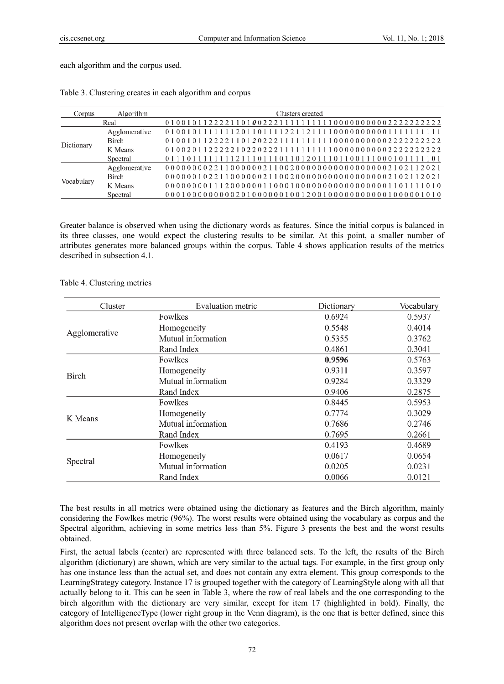each algorithm and the corpus used.

| Corpus     | Algorithm     | Clusters created |  |  |
|------------|---------------|------------------|--|--|
|            | Real          |                  |  |  |
| Dictionary | Agglomerative |                  |  |  |
|            | Birch         |                  |  |  |
|            | K Means       |                  |  |  |
|            | Spectral      |                  |  |  |
| Vocabulary | Agglomerative |                  |  |  |
|            | <b>Birch</b>  |                  |  |  |
|            | K Means       |                  |  |  |
|            | Spectral      |                  |  |  |

Table 3. Clustering creates in each algorithm and corpus

Greater balance is observed when using the dictionary words as features. Since the initial corpus is balanced in its three classes, one would expect the clustering results to be similar. At this point, a smaller number of attributes generates more balanced groups within the corpus. Table 4 shows application results of the metrics described in subsection 4.1.

## Table 4. Clustering metrics

| Cluster                                                                                                                                 | Evaluation metric  | Dictionary                                                                                                                     | Vocabulary |
|-----------------------------------------------------------------------------------------------------------------------------------------|--------------------|--------------------------------------------------------------------------------------------------------------------------------|------------|
|                                                                                                                                         | Fowlkes            | 0.6924                                                                                                                         | 0.5937     |
| Homogeneity<br>Agglomerative<br>Mutual information<br>Rand Index<br>Fowlkes<br>Homogeneity<br>Birch<br>Mutual information<br>Rand Index |                    | 0.5548                                                                                                                         | 0.4014     |
|                                                                                                                                         | 0.5355             | 0.3762                                                                                                                         |            |
|                                                                                                                                         |                    | 0.4861<br>0.9596<br>0.9311<br>0.9284<br>0.9406<br>0.8445<br>0.7774<br>0.7686<br>0.7695<br>0.4193<br>0.0617<br>0.0205<br>0.0066 | 0.3041     |
|                                                                                                                                         |                    |                                                                                                                                | 0.5763     |
|                                                                                                                                         |                    |                                                                                                                                | 0.3597     |
|                                                                                                                                         |                    |                                                                                                                                | 0.3329     |
|                                                                                                                                         | Fowlkes            | 0.2875                                                                                                                         |            |
|                                                                                                                                         |                    |                                                                                                                                | 0.5953     |
|                                                                                                                                         | Homogeneity        |                                                                                                                                | 0.3029     |
|                                                                                                                                         | Mutual information |                                                                                                                                | 0.2746     |
|                                                                                                                                         | Rand Index         |                                                                                                                                | 0.2661     |
|                                                                                                                                         | Fowlkes            |                                                                                                                                | 0.4689     |
|                                                                                                                                         | Homogeneity        |                                                                                                                                | 0.0654     |
|                                                                                                                                         | Mutual information |                                                                                                                                | 0.0231     |
| K Means<br>Spectral<br>Rand Index                                                                                                       |                    |                                                                                                                                | 0.0121     |

The best results in all metrics were obtained using the dictionary as features and the Birch algorithm, mainly considering the Fowlkes metric (96%). The worst results were obtained using the vocabulary as corpus and the Spectral algorithm, achieving in some metrics less than 5%. Figure 3 presents the best and the worst results obtained.

First, the actual labels (center) are represented with three balanced sets. To the left, the results of the Birch algorithm (dictionary) are shown, which are very similar to the actual tags. For example, in the first group only has one instance less than the actual set, and does not contain any extra element. This group corresponds to the LearningStrategy category. Instance 17 is grouped together with the category of LearningStyle along with all that actually belong to it. This can be seen in Table 3, where the row of real labels and the one corresponding to the birch algorithm with the dictionary are very similar, except for item 17 (highlighted in bold). Finally, the category of IntelligenceType (lower right group in the Venn diagram), is the one that is better defined, since this algorithm does not present overlap with the other two categories.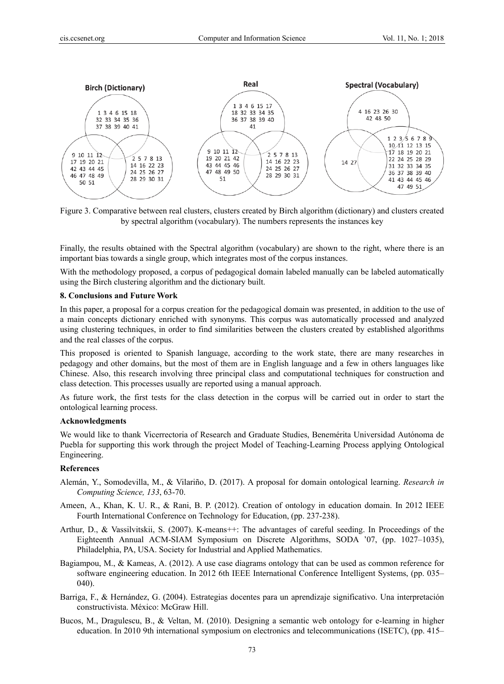

Figure 3. Comparative between real clusters, clusters created by Birch algorithm (dictionary) and clusters created by spectral algorithm (vocabulary). The numbers represents the instances key

Finally, the results obtained with the Spectral algorithm (vocabulary) are shown to the right, where there is an important bias towards a single group, which integrates most of the corpus instances.

With the methodology proposed, a corpus of pedagogical domain labeled manually can be labeled automatically using the Birch clustering algorithm and the dictionary built.

#### **8. Conclusions and Future Work**

In this paper, a proposal for a corpus creation for the pedagogical domain was presented, in addition to the use of a main concepts dictionary enriched with synonyms. This corpus was automatically processed and analyzed using clustering techniques, in order to find similarities between the clusters created by established algorithms and the real classes of the corpus.

This proposed is oriented to Spanish language, according to the work state, there are many researches in pedagogy and other domains, but the most of them are in English language and a few in others languages like Chinese. Also, this research involving three principal class and computational techniques for construction and class detection. This processes usually are reported using a manual approach.

As future work, the first tests for the class detection in the corpus will be carried out in order to start the ontological learning process.

#### **Acknowledgments**

We would like to thank Vicerrectoria of Research and Graduate Studies, Benemérita Universidad Autónoma de Puebla for supporting this work through the project Model of Teaching-Learning Process applying Ontological Engineering.

## **References**

- Alemán, Y., Somodevilla, M., & Vilariño, D. (2017). A proposal for domain ontological learning. *Research in Computing Science, 133*, 63-70.
- Ameen, A., Khan, K. U. R., & Rani, B. P. (2012). Creation of ontology in education domain. In 2012 IEEE Fourth International Conference on Technology for Education, (pp. 237-238).
- Arthur, D., & Vassilvitskii, S. (2007). K-means++: The advantages of careful seeding. In Proceedings of the Eighteenth Annual ACM-SIAM Symposium on Discrete Algorithms, SODA '07, (pp. 1027–1035), Philadelphia, PA, USA. Society for Industrial and Applied Mathematics.
- Bagiampou, M., & Kameas, A. (2012). A use case diagrams ontology that can be used as common reference for software engineering education. In 2012 6th IEEE International Conference Intelligent Systems, (pp. 035– 040).
- Barriga, F., & Hernández, G. (2004). Estrategias docentes para un aprendizaje significativo. Una interpretación constructivista. México: McGraw Hill.
- Bucos, M., Dragulescu, B., & Veltan, M. (2010). Designing a semantic web ontology for e-learning in higher education. In 2010 9th international symposium on electronics and telecommunications (ISETC), (pp. 415–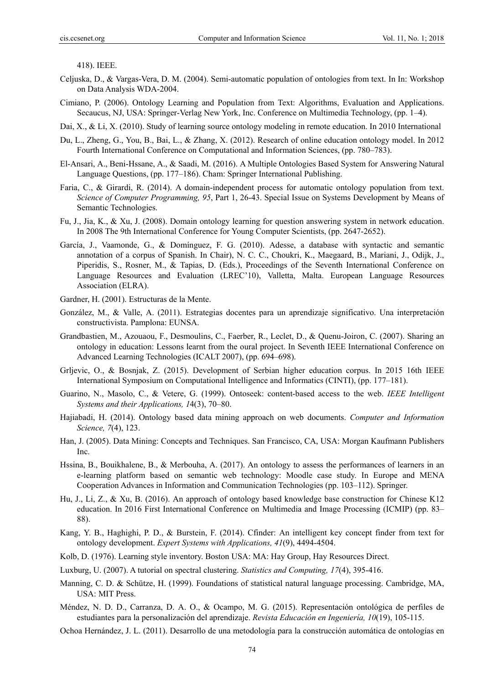418). IEEE.

- Celjuska, D., & Vargas-Vera, D. M. (2004). Semi-automatic population of ontologies from text. In In: Workshop on Data Analysis WDA-2004.
- Cimiano, P. (2006). Ontology Learning and Population from Text: Algorithms, Evaluation and Applications. Secaucus, NJ, USA: Springer-Verlag New York, Inc. Conference on Multimedia Technology, (pp. 1–4).
- Dai, X., & Li, X. (2010). Study of learning source ontology modeling in remote education. In 2010 International
- Du, L., Zheng, G., You, B., Bai, L., & Zhang, X. (2012). Research of online education ontology model. In 2012 Fourth International Conference on Computational and Information Sciences, (pp. 780–783).
- El-Ansari, A., Beni-Hssane, A., & Saadi, M. (2016). A Multiple Ontologies Based System for Answering Natural Language Questions, (pp. 177–186). Cham: Springer International Publishing.
- Faria, C., & Girardi, R. (2014). A domain-independent process for automatic ontology population from text. *Science of Computer Programming, 95*, Part 1, 26-43. Special Issue on Systems Development by Means of Semantic Technologies.
- Fu, J., Jia, K., & Xu, J. (2008). Domain ontology learning for question answering system in network education. In 2008 The 9th International Conference for Young Computer Scientists, (pp. 2647-2652).
- García, J., Vaamonde, G., & Domínguez, F. G. (2010). Adesse, a database with syntactic and semantic annotation of a corpus of Spanish. In Chair), N. C. C., Choukri, K., Maegaard, B., Mariani, J., Odijk, J., Piperidis, S., Rosner, M., & Tapias, D. (Eds.), Proceedings of the Seventh International Conference on Language Resources and Evaluation (LREC'10), Valletta, Malta. European Language Resources Association (ELRA).
- Gardner, H. (2001). Estructuras de la Mente.
- González, M., & Valle, A. (2011). Estrategias docentes para un aprendizaje significativo. Una interpretación constructivista. Pamplona: EUNSA.
- Grandbastien, M., Azouaou, F., Desmoulins, C., Faerber, R., Leclet, D., & Quenu-Joiron, C. (2007). Sharing an ontology in education: Lessons learnt from the oural project. In Seventh IEEE International Conference on Advanced Learning Technologies (ICALT 2007), (pp. 694–698).
- Grljevic, O., & Bosnjak, Z. (2015). Development of Serbian higher education corpus. In 2015 16th IEEE International Symposium on Computational Intelligence and Informatics (CINTI), (pp. 177–181).
- Guarino, N., Masolo, C., & Vetere, G. (1999). Ontoseek: content-based access to the web. *IEEE Intelligent Systems and their Applications, 1*4(3), 70–80.
- Hajiabadi, H. (2014). Ontology based data mining approach on web documents. *Computer and Information Science, 7*(4), 123.
- Han, J. (2005). Data Mining: Concepts and Techniques. San Francisco, CA, USA: Morgan Kaufmann Publishers Inc.
- Hssina, B., Bouikhalene, B., & Merbouha, A. (2017). An ontology to assess the performances of learners in an e-learning platform based on semantic web technology: Moodle case study. In Europe and MENA Cooperation Advances in Information and Communication Technologies (pp. 103–112). Springer.
- Hu, J., Li, Z., & Xu, B. (2016). An approach of ontology based knowledge base construction for Chinese K12 education. In 2016 First International Conference on Multimedia and Image Processing (ICMIP) (pp. 83– 88).
- Kang, Y. B., Haghighi, P. D., & Burstein, F. (2014). Cfinder: An intelligent key concept finder from text for ontology development. *Expert Systems with Applications, 41*(9), 4494-4504.
- Kolb, D. (1976). Learning style inventory. Boston USA: MA: Hay Group, Hay Resources Direct.
- Luxburg, U. (2007). A tutorial on spectral clustering. *Statistics and Computing, 17*(4), 395-416.
- Manning, C. D. & Schütze, H. (1999). Foundations of statistical natural language processing. Cambridge, MA, USA: MIT Press.
- Méndez, N. D. D., Carranza, D. A. O., & Ocampo, M. G. (2015). Representación ontológica de perfiles de estudiantes para la personalización del aprendizaje. *Revista Educación en Ingeniería, 10*(19), 105-115.

Ochoa Hernández, J. L. (2011). Desarrollo de una metodología para la construcción automática de ontologías en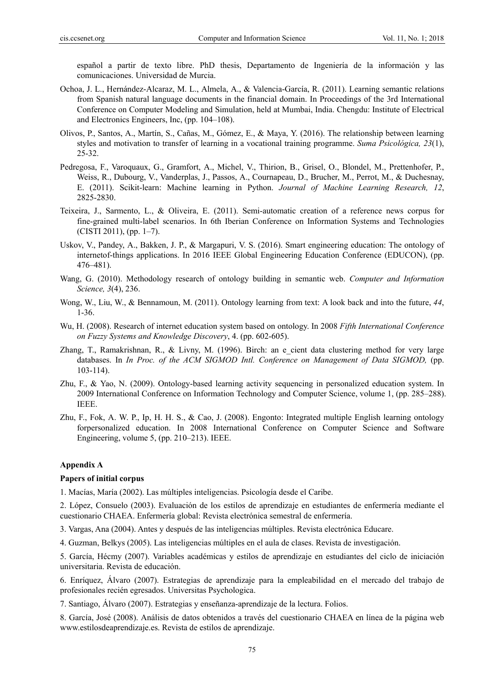español a partir de texto libre. PhD thesis, Departamento de Ingeniería de la información y las comunicaciones. Universidad de Murcia.

- Ochoa, J. L., Hernández-Alcaraz, M. L., Almela, A., & Valencia-García, R. (2011). Learning semantic relations from Spanish natural language documents in the financial domain. In Proceedings of the 3rd International Conference on Computer Modeling and Simulation, held at Mumbai, India. Chengdu: Institute of Electrical and Electronics Engineers, Inc, (pp. 104–108).
- Olivos, P., Santos, A., Martín, S., Cañas, M., Gómez, E., & Maya, Y. (2016). The relationship between learning styles and motivation to transfer of learning in a vocational training programme. *Suma Psicológica, 23*(1), 25-32.
- Pedregosa, F., Varoquaux, G., Gramfort, A., Michel, V., Thirion, B., Grisel, O., Blondel, M., Prettenhofer, P., Weiss, R., Dubourg, V., Vanderplas, J., Passos, A., Cournapeau, D., Brucher, M., Perrot, M., & Duchesnay, E. (2011). Scikit-learn: Machine learning in Python. *Journal of Machine Learning Research, 12*, 2825-2830.
- Teixeira, J., Sarmento, L., & Oliveira, E. (2011). Semi-automatic creation of a reference news corpus for fine-grained multi-label scenarios. In 6th Iberian Conference on Information Systems and Technologies (CISTI 2011), (pp. 1–7).
- Uskov, V., Pandey, A., Bakken, J. P., & Margapuri, V. S. (2016). Smart engineering education: The ontology of internetof-things applications. In 2016 IEEE Global Engineering Education Conference (EDUCON), (pp. 476–481).
- Wang, G. (2010). Methodology research of ontology building in semantic web. *Computer and Information Science, 3*(4), 236.
- Wong, W., Liu, W., & Bennamoun, M. (2011). Ontology learning from text: A look back and into the future, *44*, 1-36.
- Wu, H. (2008). Research of internet education system based on ontology. In 2008 *Fifth International Conference on Fuzzy Systems and Knowledge Discovery*, 4. (pp. 602-605).
- Zhang, T., Ramakrishnan, R., & Livny, M. (1996). Birch: an e\_cient data clustering method for very large databases. In *In Proc. of the ACM SIGMOD Intl. Conference on Management of Data SIGMOD,* (pp. 103-114).
- Zhu, F., & Yao, N. (2009). Ontology-based learning activity sequencing in personalized education system. In 2009 International Conference on Information Technology and Computer Science, volume 1, (pp. 285–288). IEEE.
- Zhu, F., Fok, A. W. P., Ip, H. H. S., & Cao, J. (2008). Engonto: Integrated multiple English learning ontology forpersonalized education. In 2008 International Conference on Computer Science and Software Engineering, volume 5, (pp. 210–213). IEEE.

## **Appendix A**

## **Papers of initial corpus**

1. Macías, María (2002). Las múltiples inteligencias. Psicología desde el Caribe.

2. López, Consuelo (2003). Evaluación de los estilos de aprendizaje en estudiantes de enfermería mediante el cuestionario CHAEA. Enfermería global: Revista electrónica semestral de enfermería.

3. Vargas, Ana (2004). Antes y después de las inteligencias múltiples. Revista electrónica Educare.

4. Guzman, Belkys (2005). Las inteligencias múltiples en el aula de clases. Revista de investigación.

5. García, Hécmy (2007). Variables académicas y estilos de aprendizaje en estudiantes del ciclo de iniciación universitaria. Revista de educación.

6. Enríquez, Álvaro (2007). Estrategias de aprendizaje para la empleabilidad en el mercado del trabajo de profesionales recién egresados. Universitas Psychologica.

7. Santiago, Álvaro (2007). Estrategias y enseñanza-aprendizaje de la lectura. Folios.

8. García, José (2008). Análisis de datos obtenidos a través del cuestionario CHAEA en línea de la página web www.estilosdeaprendizaje.es. Revista de estilos de aprendizaje.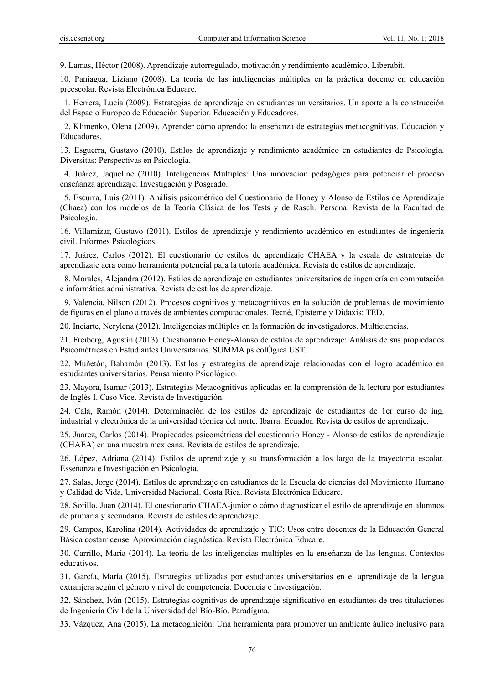9. Lamas, Héctor (2008). Aprendizaje autorregulado, motivación y rendimiento académico. Liberabit.

10. Paniagua, Liziano (2008). La teoría de las inteligencias múltiples en la práctica docente en educación preescolar. Revista Electrónica Educare.

11. Herrera, Lucía (2009). Estrategias de aprendizaje en estudiantes universitarios. Un aporte a la construcción del Espacio Europeo de Educación Superior. Educación y Educadores.

12. Klimenko, Olena (2009). Aprender cómo aprendo: la enseñanza de estrategias metacognitivas. Educación y Educadores.

13. Esguerra, Gustavo (2010). Estilos de aprendizaje y rendimiento académico en estudiantes de Psicología. Diversitas: Perspectivas en Psicología.

14. Juárez, Jaqueline (2010). Inteligencias Múltiples: Una innovación pedagógica para potenciar el proceso enseñanza aprendizaje. Investigación y Posgrado.

15. Escurra, Luis (2011). Análisis psicométrico del Cuestionario de Honey y Alonso de Estilos de Aprendizaje (Chaea) con los modelos de la Teoría Clásica de los Tests y de Rasch. Persona: Revista de la Facultad de Psicología.

16. Villamizar, Gustavo (2011). Estilos de aprendizaje y rendimiento académico en estudiantes de ingeniería civil. Informes Psicológicos.

17. Juárez, Carlos (2012). El cuestionario de estilos de aprendizaje CHAEA y la escala de estrategias de aprendizaje acra como herramienta potencial para la tutoría académica. Revista de estilos de aprendizaje.

18. Morales, Alejandra (2012). Estilos de aprendizaje en estudiantes universitarios de ingeniería en computación e informática administrativa. Revista de estilos de aprendizaje.

19. Valencia, Nilson (2012). Procesos cognitivos y metacognitivos en la solución de problemas de movimiento de figuras en el plano a través de ambientes computacionales. Tecné, Episteme y Didaxis: TED.

20. Inciarte, Nerylena (2012). Inteligencias múltiples en la formación de investigadores. Multiciencias.

21. Freiberg, Agustín (2013). Cuestionario Honey-Alonso de estilos de aprendizaje: Análisis de sus propiedades Psicométricas en Estudiantes Universitarios. SUMMA psicolÓgica UST.

22. Muñetón, Bahamón (2013). Estilos y estrategias de aprendizaje relacionadas con el logro académico en estudiantes universitarios. Pensamiento Psicológico.

23. Mayora, Isamar (2013). Estrategias Metacognitivas aplicadas en la comprensión de la lectura por estudiantes de Inglés I. Caso Vice. Revista de Investigación.

24. Cala, Ramón (2014). Determinación de los estilos de aprendizaje de estudiantes de 1er curso de ing. industrial y electrónica de la universidad técnica del norte. Ibarra. Ecuador. Revista de estilos de aprendizaje.

25. Juarez, Carlos (2014). Propiedades psicométricas del cuestionario Honey - Alonso de estilos de aprendizaje (CHAEA) en una muestra mexicana. Revista de estilos de aprendizaje.

26. López, Adriana (2014). Estilos de aprendizaje y su transformación a los largo de la trayectoria escolar. Esseñanza e Investigación en Psicología.

27. Salas, Jorge (2014). Estilos de aprendizaje en estudiantes de la Escuela de ciencias del Movimiento Humano y Calidad de Vida, Universidad Nacional. Costa Rica. Revista Electrónica Educare.

28. Sotillo, Juan (2014). El cuestionario CHAEA-junior o cómo diagnosticar el estilo de aprendizaje en alumnos de primaria y secundaria. Revista de estilos de aprendizaje.

29. Campos, Karolina (2014). Actividades de aprendizaje y TIC: Usos entre docentes de la Educación General Básica costarricense. Aproximación diagnóstica. Revista Electrónica Educare.

30. Carrillo, Maria (2014). La teoria de las inteligencias multiples en la enseñanza de las lenguas. Contextos educativos.

31. García, María (2015). Estrategias utilizadas por estudiantes universitarios en el aprendizaje de la lengua extranjera según el género y nivel de competencia. Docencia e Investigación.

32. Sánchez, Iván (2015). Estrategias cognitivas de aprendizaje significativo en estudiantes de tres titulaciones de Ingeniería Civil de la Universidad del Bío-Bío. Paradígma.

33. Vázquez, Ana (2015). La metacognición: Una herramienta para promover un ambiente áulico inclusivo para